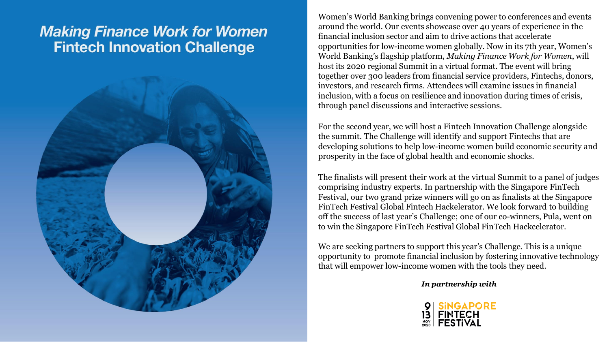## **Making Finance Work for Women Fintech Innovation Challenge**



Women's World Banking brings convening power to conferences and events around the world. Our events showcase over 40 years of experience in the financial inclusion sector and aim to drive actions that accelerate opportunities for low-income women globally. Now in its 7th year, Women's World Banking's flagship platform, *Making Finance Work for Women*, will host its 2020 regional Summit in a virtual format. The event will bring together over 300 leaders from financial service providers, Fintechs, donors, investors, and research firms. Attendees will examine issues in financial inclusion, with a focus on resilience and innovation during times of crisis, through panel discussions and interactive sessions.

For the second year, we will host a Fintech Innovation Challenge alongside the summit. The Challenge will identify and support Fintechs that are developing solutions to help low-income women build economic security and prosperity in the face of global health and economic shocks.

The finalists will present their work at the virtual Summit to a panel of judges comprising industry experts. In partnership with the Singapore FinTech Festival, our two grand prize winners will go on as finalists at the Singapore FinTech Festival Global Fintech Hackelerator. We look forward to building off the success of last year's Challenge; one of our co-winners, Pula, went on to win the Singapore FinTech Festival Global FinTech Hackcelerator.

We are seeking partners to support this year's Challenge. This is a unique opportunity to promote financial inclusion by fostering innovative technology that will empower low-income women with the tools they need.

*In partnership with*

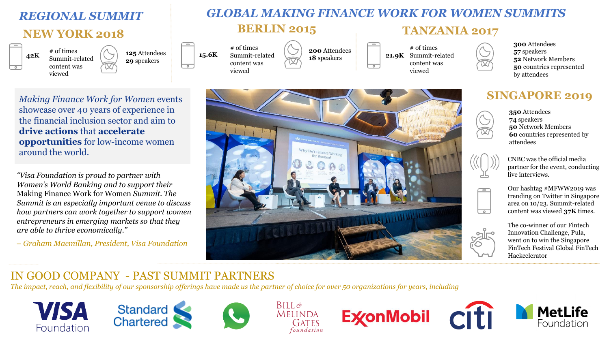# *REGIONAL SUMMIT* **NEW YORK 2018**



**125** Attendees **29** speakers

# of times Summit-related content was viewed

**200** Attendees **18** speakers

*GLOBAL MAKING FINANCE WORK FOR WOMEN SUMMITS* 

**BERLIN 2015 TANZANIA 2017**

**21.9K** Summit-related # of times content was

viewed

**300** Attendees **57** speakers **52** Network Members **50** countries represented by attendees

#### *Making Finance Work for Women* events showcase over 40 years of experience in the financial inclusion sector and aim to **drive actions** that **accelerate opportunities** for low-income women around the world.

*"Visa Foundation is proud to partner with Women's World Banking and to support their*  Making Finance Work for Women *Summit. The Summit is an especially important venue to discuss how partners can work together to support women entrepreneurs in emerging markets so that they are able to thrive economically."*

– *Graham Macmillan, President, Visa Foundation*



### **SINGAPORE 2019**

**350** Attendees

 $\overline{\phantom{0}}$ 

 $\overline{\phantom{a}}$ 

**74** speakers **50** Network Members **60** countries represented by attendees

CNBC was the official media partner for the event, conducting live interviews.

Our hashtag #MFWW2019 was trending on Twitter in Singapore area on 10/23. Summit-related content was viewed **37K** times.

The co-winner of our Fintech Innovation Challenge, Pula, went on to win the Singapore FinTech Festival Global FinTech Hackcelerator

## IN GOOD COMPANY - PAST SUMMIT PARTNERS

*The impact, reach, and flexibility of our sponsorship offerings have made us the partner of choice for over 50 organizations for years, including* 









**ExconMobil**